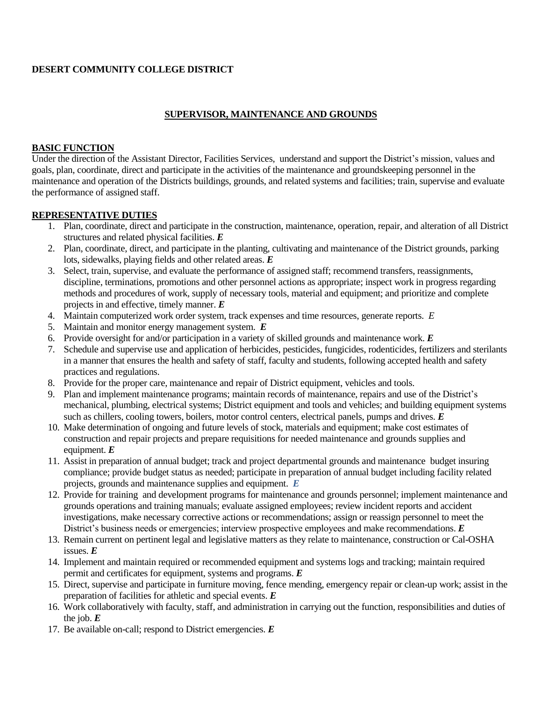#### **DESERT COMMUNITY COLLEGE DISTRICT**

# **SUPERVISOR, MAINTENANCE AND GROUNDS**

#### **BASIC FUNCTION**

Under the direction of the Assistant Director, Facilities Services, understand and support the District's mission, values and goals, plan, coordinate, direct and participate in the activities of the maintenance and groundskeeping personnel in the maintenance and operation of the Districts buildings, grounds, and related systems and facilities; train, supervise and evaluate the performance of assigned staff.

#### **REPRESENTATIVE DUTIES**

- 1. Plan, coordinate, direct and participate in the construction, maintenance, operation, repair, and alteration of all District structures and related physical facilities. *E*
- 2. Plan, coordinate, direct, and participate in the planting, cultivating and maintenance of the District grounds, parking lots, sidewalks, playing fields and other related areas. *E*
- 3. Select, train, supervise, and evaluate the performance of assigned staff; recommend transfers, reassignments, discipline, terminations, promotions and other personnel actions as appropriate; inspect work in progress regarding methods and procedures of work, supply of necessary tools, material and equipment; and prioritize and complete projects in and effective, timely manner. *E*
- 4. Maintain computerized work order system, track expenses and time resources, generate reports. *E*
- 5. Maintain and monitor energy management system. *E*
- 6. Provide oversight for and/or participation in a variety of skilled grounds and maintenance work. *E*
- 7. Schedule and supervise use and application of herbicides, pesticides, fungicides, rodenticides, fertilizers and sterilants in a manner that ensures the health and safety of staff, faculty and students, following accepted health and safety practices and regulations.
- 8. Provide for the proper care, maintenance and repair of District equipment, vehicles and tools.
- 9. Plan and implement maintenance programs; maintain records of maintenance, repairs and use of the District's mechanical, plumbing, electrical systems; District equipment and tools and vehicles; and building equipment systems such as chillers, cooling towers, boilers, motor control centers, electrical panels, pumps and drives. *E*
- 10. Make determination of ongoing and future levels of stock, materials and equipment; make cost estimates of construction and repair projects and prepare requisitions for needed maintenance and grounds supplies and equipment. *E*
- 11. Assist in preparation of annual budget; track and project departmental grounds and maintenance budget insuring compliance; provide budget status as needed; participate in preparation of annual budget including facility related projects, grounds and maintenance supplies and equipment. *E*
- 12. Provide for training and development programs for maintenance and grounds personnel; implement maintenance and grounds operations and training manuals; evaluate assigned employees; review incident reports and accident investigations, make necessary corrective actions or recommendations; assign or reassign personnel to meet the District's business needs or emergencies; interview prospective employees and make recommendations. *E*
- 13. Remain current on pertinent legal and legislative matters as they relate to maintenance, construction or Cal-OSHA issues. *E*
- 14. Implement and maintain required or recommended equipment and systems logs and tracking; maintain required permit and certificates for equipment, systems and programs. *E*
- 15. Direct, supervise and participate in furniture moving, fence mending, emergency repair or clean-up work; assist in the preparation of facilities for athletic and special events. *E*
- 16. Work collaboratively with faculty, staff, and administration in carrying out the function, responsibilities and duties of the job.  $E$
- 17. Be available on-call; respond to District emergencies. *E*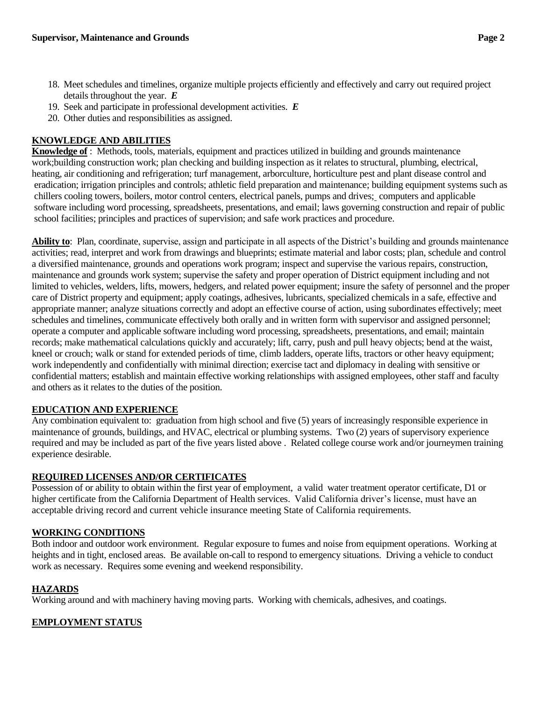- 18. Meet schedules and timelines, organize multiple projects efficiently and effectively and carry out required project details throughout the year. *E*
- 19. Seek and participate in professional development activities. *E*
- 20. Other duties and responsibilities as assigned.

## **KNOWLEDGE AND ABILITIES**

**Knowledge of** : Methods, tools, materials, equipment and practices utilized in building and grounds maintenance work;building construction work; plan checking and building inspection as it relates to structural, plumbing, electrical, heating, air conditioning and refrigeration; turf management, arborculture, horticulture pest and plant disease control and eradication; irrigation principles and controls; athletic field preparation and maintenance; building equipment systems such as chillers cooling towers, boilers, motor control centers, electrical panels, pumps and drives; computers and applicable software including word processing, spreadsheets, presentations, and email; laws governing construction and repair of public school facilities; principles and practices of supervision; and safe work practices and procedure.

**Ability to**: Plan, coordinate, supervise, assign and participate in all aspects of the District's building and grounds maintenance activities; read, interpret and work from drawings and blueprints; estimate material and labor costs; plan, schedule and control a diversified maintenance, grounds and operations work program; inspect and supervise the various repairs, construction, maintenance and grounds work system; supervise the safety and proper operation of District equipment including and not limited to vehicles, welders, lifts, mowers, hedgers, and related power equipment; insure the safety of personnel and the proper care of District property and equipment; apply coatings, adhesives, lubricants, specialized chemicals in a safe, effective and appropriate manner; analyze situations correctly and adopt an effective course of action, using subordinates effectively; meet schedules and timelines, communicate effectively both orally and in written form with supervisor and assigned personnel; operate a computer and applicable software including word processing, spreadsheets, presentations, and email; maintain records; make mathematical calculations quickly and accurately; lift, carry, push and pull heavy objects; bend at the waist, kneel or crouch; walk or stand for extended periods of time, climb ladders, operate lifts, tractors or other heavy equipment; work independently and confidentially with minimal direction; exercise tact and diplomacy in dealing with sensitive or confidential matters; establish and maintain effective working relationships with assigned employees, other staff and faculty and others as it relates to the duties of the position.

## **EDUCATION AND EXPERIENCE**

Any combination equivalent to: graduation from high school and five (5) years of increasingly responsible experience in maintenance of grounds, buildings, and HVAC, electrical or plumbing systems. Two (2) years of supervisory experience required and may be included as part of the five years listed above . Related college course work and/or journeymen training experience desirable.

## **REQUIRED LICENSES AND/OR CERTIFICATES**

Possession of or ability to obtain within the first year of employment, a valid water treatment operator certificate, D1 or higher certificate from the California Department of Health services. Valid California driver's license, must have an acceptable driving record and current vehicle insurance meeting State of California requirements.

## **WORKING CONDITIONS**

Both indoor and outdoor work environment. Regular exposure to fumes and noise from equipment operations. Working at heights and in tight, enclosed areas. Be available on-call to respond to emergency situations. Driving a vehicle to conduct work as necessary. Requires some evening and weekend responsibility.

## **HAZARDS**

Working around and with machinery having moving parts. Working with chemicals, adhesives, and coatings.

## **EMPLOYMENT STATUS**